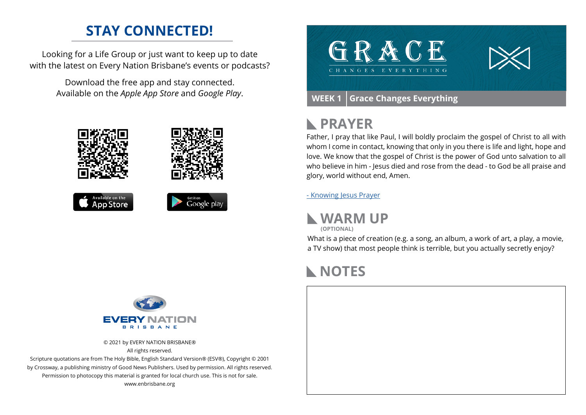### **STAY CONNECTED!**

Looking for a Life Group or just want to keep up to date with the latest on Every Nation Brisbane's events or podcasts?

> Download the free app and stay connected. Available on the *Apple App Store* and *Google Play*.





#### **PRAYER**  $\mathbb{R}$

Father, I pray that like Paul, I will boldly proclaim the gospel of Christ to all with whom I come in contact, knowing that only in you there is life and light, hope and love. We know that the gospel of Christ is the power of God unto salvation to all who believe in him - Jesus died and rose from the dead - to God be all praise and glory, world without end, Amen.

[- Knowing Jesus Prayer](https://prayer.knowing-jesus.com/Romans/1/16)

**WARM UP (OPTIONAL)**

What is a piece of creation (e.g. a song, an album, a work of art, a play, a movie, a TV show) that most people think is terrible, but you actually secretly enjoy?

# **NOTES**





© 2021 by EVERY NATION BRISBANE® All rights reserved.

Scripture quotations are from The Holy Bible, English Standard Version® (ESV®), Copyright © 2001 by Crossway, a publishing ministry of Good News Publishers. Used by permission. All rights reserved. Permission to photocopy this material is granted for local church use. This is not for sale. www.enbrisbane.org